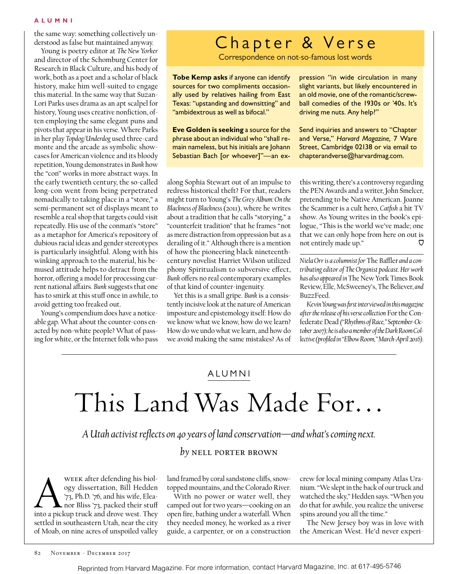#### **A L U MN I**

the same way: something collectively understood as false but maintained anyway.

Young is poetry editor at *The New Yorker* and director of the Schomburg Center for Research in Black Culture, and his body of work, both as a poet and a scholar of black history, make him well-suited to engage this material. In the same way that Suzan-Lori Parks uses drama as an apt scalpel for history, Young uses creative nonfiction, often employing the same elegant puns and pivots that appear in his verse. Where Parks in her play *Topdog/Underdog* used three-card monte and the arcade as symbolic showcases for American violence and its bloody repetition, Young demonstrates in *Bunk* how the "con" works in more abstract ways. In the early twentieth century, the so-called long-con went from being perpetrated nomadically to taking place in a "store," a semi-permanent set of displays meant to resemble a real shop that targets could visit repeatedly. His use of the conman's "store" as a metaphor for America's repository of dubious racial ideas and gender stereotypes is particularly insightful. Along with his winking approach to the material, his bemused attitude helps to detract from the horror, offering a model for processing current national affairs. *Bunk* suggests that one has to smirk at this stuff once in awhile, to avoid getting too freaked out.

Young's compendium does have a noticeable gap. What about the counter-cons enacted by non-white people? What of passing for white, or the Internet folk who pass

## Chapter & Verse

Correspondence on not-so-famous lost words

**Tobe Kemp asks** if anyone can identify sources for two compliments occasionally used by relatives hailing from East Texas: "upstanding and downsitting" and "ambidextrous as well as bifocal."

**Eve Golden is seeking** a source for the phrase about an individual who "shall remain nameless, but his initials are Johann Sebastian Bach [or whoever]"—an expression "in wide circulation in many slight variants, but likely encountered in an old movie, one of the romantic/screwball comedies of the 1930s or '40s. It's driving me nuts. Any help?"

Send inquiries and answers to "Chapter and Verse," *Harvard Magazine,* 7 Ware Street, Cambridge 02138 or via email to chapterandverse@harvardmag.com.

along Sophia Stewart out of an impulse to redress historical theft? For that, readers might turn to Young's *The Grey Album: On the Blackness of Blackness* (2011), where he writes about a tradition that he calls "storying," a "counterfeit tradition" that he frames "not as mere distraction from oppression but as a derailing of it." Although there is a mention of how the pioneering black nineteenthcentury novelist Harriet Wilson utilized phony Spiritualism to subversive effect, *Bunk* offers no real contemporary examples of that kind of counter-ingenuity.

Yet this is a small gripe. *Bunk* is a consistently incisive look at the nature of American imposture and epistemology itself: How do we know what we know, how do we learn? How do we undo what we learn, and how do we avoid making the same mistakes? As of this writing, there's a controversy regarding the PEN Awards and a writer, John Smelcer, pretending to be Native American. Joanne the Scammer is a cult hero, *Catfish* a hit TV show. As Young writes in the book's epilogue, "This is the world we've made; one that we can only hope from here on out is not entirely made up."  $\mathbf{\nabla}$ 

*Niela Orr is a columnist for* The Baffler *and a contributing editor of The Organist podcast. Her work has also appeared in* The New York Times Book Review, Elle, McSweeney's, The Believer, *and*  BuzzFeed.

*Kevin Young was first interviewed in this magazine after the release of his verse collection* For the Confederate Dead *("Rhythms of Race," September-October 2007); he is also a member of the Dark Room Collective (profiled in "Elbow Room," March-April 2016).*

### ALUMNI

# This Land Was Made For…

*A Utah activist reflects on 40 years of land conservation—and what's coming next.*

### *by* nell porter brown

WEEK after defending his biology dissertation, Bill Hedden<br>
73, Ph.D. '76, and his wife, Elea-<br>
into a pickup truck and drove west. They ogy dissertation, Bill Hedden '73, Ph.D. '76, and his wife, Eleanor Bliss '73, packed their stuff settled in southeastern Utah, near the city of Moab, on nine acres of unspoiled valley

land framed by coral sandstone cliffs, snowtopped mountains, and the Colorado River.

With no power or water well, they camped out for two years—cooking on an open fire, bathing under a waterfall. When they needed money, he worked as a river guide, a carpenter, or on a construction crew for local mining company Atlas Uranium. "We slept in the back of our truck and watched the sky," Hedden says. "When you do that for awhile, you realize the universe spins around you all the time."

The New Jersey boy was in love with the American West. He'd never experi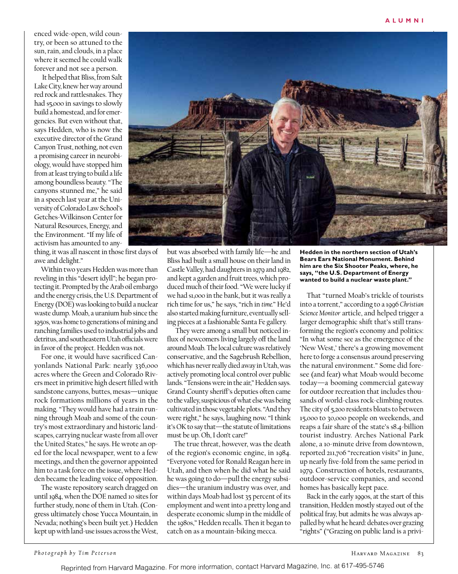enced wide-open, wild country, or been so attuned to the sun, rain, and clouds, in a place where it seemed he could walk forever and not see a person.

 It helped that Bliss, from Salt Lake City, knew her way around red rock and rattlesnakes. They had \$5,000 in savings to slowly build a homestead, and for emergencies. But even without that, says Hedden, who is now the executive director of the Grand Canyon Trust, nothing, not even a promising career in neurobiology, would have stopped him from at least trying to build a life among boundless beauty. "The canyons stunned me," he said in a speech last year at the University of Colorado Law School's Getches-Wilkinson Center for Natural Resources, Energy, and the Environment. "If my life of activism has amounted to any-

thing, it was all nascent in those first days of awe and delight."

Within two years Hedden was more than reveling in this "desert idyll"; he began protecting it. Prompted by the Arab oil embargo and the energy crisis, the U.S. Department of Energy (DOE) was looking to build a nuclear waste dump. Moab, a uranium hub since the 1950s, was home to generations of mining and ranching families used to industrial jobs and detritus, and southeastern Utah officials were in favor of the project. Hedden was not.

For one, it would have sacrificed Canyonlands National Park: nearly 336,000 acres where the Green and Colorado Rivers meet in primitive high desert filled with sandstone canyons, buttes, mesas—unique rock formations millions of years in the making. "They would have had a train running through Moab and some of the country's most extraordinary and historic landscapes, carrying nuclear waste from all over the United States," he says. He wrote an oped for the local newspaper, went to a few meetings, and then the governor appointed him to a task force on the issue, where Hedden became the leading voice of opposition.

The waste repository search dragged on until 1984, when the DOE named 10 sites for further study, none of them in Utah. (Congress ultimately chose Yucca Mountain, in Nevada; nothing's been built yet.) Hedden kept up with land-use issues across the West,



but was absorbed with family life—he and Bliss had built a small house on their land in Castle Valley, had daughters in 1979 and 1982, and kept a garden and fruit trees, which produced much of their food. "We were lucky if we had \$1,000 in the bank, but it was really a rich time for us," he says, "rich in *time.*" He'd also started making furniture, eventually selling pieces at a fashionable Santa Fe gallery.

 They were among a small but noticed influx of newcomers living largely off the land around Moab. The local culture was relatively conservative, and the Sagebrush Rebellion, which has never really died away in Utah, was actively promoting local control over public lands. "Tensions were in the air," Hedden says. Grand County sheriff's deputies often came to the valley, suspicious of what else was being cultivated in those vegetable plots. "And they were right," he says, laughing now. "I think it's OK to say that—the statute of limitations must be up. Oh, I don't care!"

The true threat, however, was the death of the region's economic engine, in 1984. "Everyone voted for Ronald Reagan here in Utah, and then when he did what he said he was going to do—pull the energy subsidies—the uranium industry was over, and within days Moab had lost 35 percent of its employment and went into a pretty long and desperate economic slump in the middle of the 1980s," Hedden recalls. Then it began to catch on as a mountain-biking mecca.

**Hedden in the northern section of Utah's Bears Ears National Monument. Behind him are the Six Shooter Peaks, where, he says, "the U.S. Department of Energy wanted to build a nuclear waste plant."**

That "turned Moab's trickle of tourists into a torrent," according to a 1996 *Christian Science Monitor* article, and helped trigger a larger demographic shift that's still transforming the region's economy and politics: "In what some see as the emergence of the 'New West,' there's a growing movement here to forge a consensus around preserving the natural environment." Some did foresee (and fear) what Moab would become today—a booming commercial gateway for outdoor recreation that includes thousands of world-class rock-climbing routes. The city of 5,200 residents bloats to between 15,000 to 30,000 people on weekends, and reaps a fair share of the state's \$8.4-billion tourist industry. Arches National Park alone, a 10-minute drive from downtown, reported 211,706 "recreation visits" in June, up nearly five-fold from the same period in 1979. Construction of hotels, restaurants, outdoor-service companies, and second homes has basically kept pace.

Back in the early 1990s, at the start of this transition, Hedden mostly stayed out of the political fray, but admits he was always appalled by what he heard: debates over grazing "rights" ("Grazing on public land is a privi-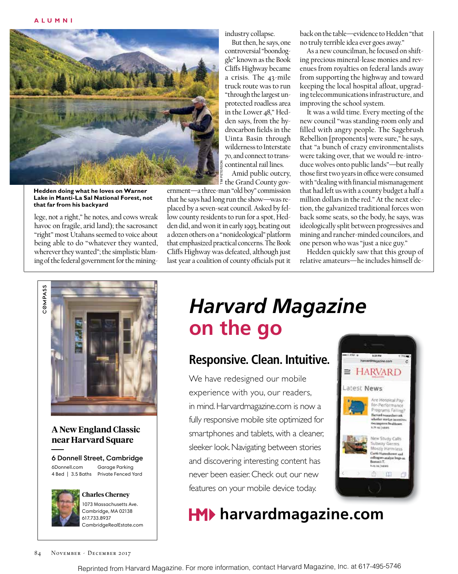

**Hedden doing what he loves on Warner Lake in Manti-La Sal National Forest, not that far from his backyard** 

lege, not a right," he notes, and cows wreak havoc on fragile, arid land); the sacrosanct "right" most Utahans seemed to voice about being able to do "whatever they wanted, wherever they wanted"; the simplistic blaming of the federal government for the miningindustry collapse.

But then, he says, one controversial "boondoggle" known as the Book Cliffs Highway became a crisis. The 43-mile truck route was to run "through the largest unprotected roadless area in the Lower 48," Hedden says, from the hydrocarbon fields in the Uinta Basin through wilderness to Interstate 70, and connect to transcontinental rail lines.

Amid public outcry,  $\geq$  the Grand County gov-

ernment—a three-man "old boy" commission that he says had long run the show—was replaced by a seven-seat council. Asked by fellow county residents to run for a spot, Hedden did, and won it in early 1993, beating out a dozen others on a "nonideological" platform that emphasized practical concerns. The Book Cliffs Highway was defeated, although just last year a coalition of county officials put it back on the table—evidence to Hedden "that no truly terrible idea ever goes away."

As a new councilman, he focused on shifting precious mineral-lease monies and revenues from royalties on federal lands away from supporting the highway and toward keeping the local hospital afloat, upgrading telecommunications infrastructure, and improving the school system.

It was a wild time. Every meeting of the new council "was standing-room only and filled with angry people. The Sagebrush Rebellion [proponents] were sure," he says, that "a bunch of crazy environmentalists were taking over, that we would re-introduce wolves onto public lands"—but really those first two years in office were consumed with "dealing with financial mismanagement that had left us with a county budget a half a million dollars in the red." At the next election, the galvanized traditional forces won back some seats, so the body, he says, was ideologically split between progressives and mining and rancher-minded councilors, and one person who was "just a nice guy."

Hedden quickly saw that this group of relative amateurs—he includes himself de-



### **A New England Classic near Harvard Square**

6 Donnell Street, Cambridge Garage Parking

6Donnell.com 4 Bed | 3.5 Baths Private Fenced Yard



**Charles Cherney** 1073 Massachusetts Ave. Cambridge, MA 02138 617.733.8937 CambridgeRealEstate.com

## *Harvard Magazine*  **on the go**

### **Responsive. Clean. Intuitive.**

We have redesigned our mobile experience with you, our readers, in mind. Harvardmagazine.com is now a fully responsive mobile site optimized for smartphones and tablets, with a cleaner, sleeker look. Navigating between stories and discovering interesting content has never been easier. Check out our new features on your mobile device today.



## **HM**▶ harvardmagazine.com

Reprinted from Harvard Magazine. For more information, contact Harvard Magazine, Inc. at 617-495-5746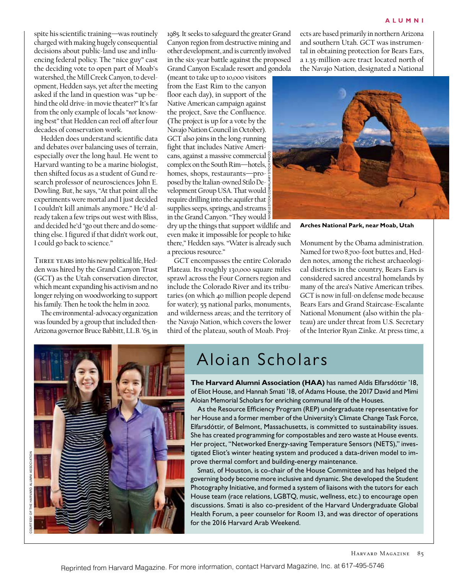spite his scientific training—was routinely charged with making hugely consequential decisions about public-land use and influencing federal policy. The "nice guy" cast the deciding vote to open part of Moab's watershed, the Mill Creek Canyon, to development, Hedden says, yet after the meeting asked if the land in question was "up behind the old drive-in movie theater?" It's far from the only example of locals "*not* knowing best" that Hedden can reel off after four decades of conservation work.

Hedden does understand scientific data and debates over balancing uses of terrain, especially over the long haul. He went to Harvard wanting to be a marine biologist, then shifted focus as a student of Gund research professor of neurosciences John E. Dowling. But, he says, "At that point all the experiments were mortal and I just decided I couldn't kill animals anymore." He'd already taken a few trips out west with Bliss, and decided he'd "go out there and do something else. I figured if that didn't work out, I could go back to science."

Three years into his new political life, Hedden was hired by the Grand Canyon Trust (GCT) as the Utah conservation director, which meant expanding his activism and no longer relying on woodworking to support his family. Then he took the helm in 2002.

The environmental-advocacy organization was founded by a group that included then-Arizona governor Bruce Babbitt, LL.B. '65, in

1985. It seeks to safeguard the greater Grand Canyon region from destructive mining and other development, and is currently involved in the six-year battle against the proposed Grand Canyon Escalade resort and gondola

(meant to take up to 10,000 visitors from the East Rim to the canyon floor each day), in support of the Native American campaign against the project, Save the Confluence. (The project is up for a vote by the Navajo Nation Council in October). GCT also joins in the long-running fight that includes Native Americans, against a massive commercial complex on the South Rim—hotels,  $\frac{6}{9}$ homes, shops, restaurants—proposed by the Italian-owned Stilo Development Group USA. That would require drilling into the aquifer that supplies seeps, springs, and streams in the Grand Canyon. "They would NAGELESTOCK.COM/ALAMY STOCK PHOTO

dry up the things that support wildlife and even make it impossible for people to hike there," Hedden says. "Water is already such a precious resource."

GCT encompasses the entire Colorado Plateau. Its roughly 130,000 square miles sprawl across the Four Corners region and include the Colorado River and its tributaries (on which 40 million people depend for water); 55 national parks, monuments, and wilderness areas; and the territory of the Navajo Nation, which covers the lower third of the plateau, south of Moab. Projects are based primarily in northern Arizona and southern Utah. GCT was instrumental in obtaining protection for Bears Ears, a 1.35-million-acre tract located north of the Navajo Nation, designated a National



**Arches National Park, near Moab, Utah**

Monument by the Obama administration. Named for two 8,700-foot buttes and, Hedden notes, among the richest archaeological districts in the country, Bears Ears is considered sacred ancestral homelands by many of the area's Native American tribes. GCT is now in full-on defense mode because Bears Ears and Grand Staircase-Escalante National Monument (also within the plateau) are under threat from U.S. Secretary of the Interior Ryan Zinke. At press time, a



### Aloian Scholars

**The Harvard Alumni Association (HAA)** has named Aldís Elfarsdóttir '18, of Eliot House, and Hannah Smati '18, of Adams House, the 2017 David and Mimi Aloian Memorial Scholars for enriching communal life of the Houses.

As the Resource Efficiency Program (REP) undergraduate representative for her House and a former member of the University's Climate Change Task Force, Elfarsdóttir, of Belmont, Massachusetts, is committed to sustainability issues. She has created programming for compostables and zero waste at House events. Her project, "Networked Energy-saving Temperature Sensors (NETS)," investigated Eliot's winter heating system and produced a data-driven model to improve thermal comfort and building-energy maintenance.

Smati, of Houston, is co-chair of the House Committee and has helped the governing body become more inclusive and dynamic. She developed the Student Photography Initiative, and formed a system of liaisons with the tutors for each House team (race relations, LGBTQ, music, wellness, etc.) to encourage open discussions. Smati is also co-president of the Harvard Undergraduate Global Health Forum, a peer counselor for Room 13, and was director of operations for the 2016 Harvard Arab Weekend.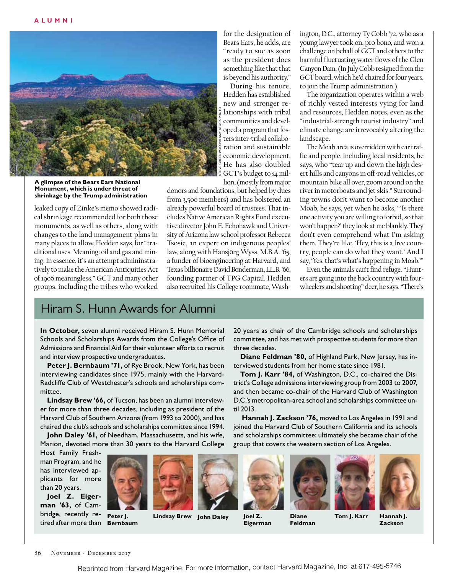

**A glimpse of the Bears Ears National Monument, which is under threat of shrinkage by the Trump administration**

leaked copy of Zinke's memo showed radical shrinkage recommended for both those monuments, as well as others, along with changes to the land management plans in many places to allow, Hedden says, for "traditional uses. Meaning: oil and gas and mining. In essence, it's an attempt admininstratively to make the American Antiquities Act of 1906 meaningless." GCT and many other groups, including the tribes who worked

for the designation of Bears Ears, he adds, are "ready to sue as soon as the president does something like that that is beyond his authority."

During his tenure, Hedden has established new and stronger relationships with tribal communities and developed a program that fosters inter-tribal collaboration and sustainable economic development. He has also doubled GCT's budget to \$4 million, (mostly from major STEVE GREENWOOD/ALAMY STOCK PHOTO

three decades.

til 2013.

donors and foundations, but helped by dues from 3,500 members) and has bolstered an already powerful board of trustees. That includes Native American Rights Fund executive director John E. Echohawk and University of Arizona law school professor Rebecca Tsosie, an expert on indigenous peoples' law, along with Hansjörg Wyss, M.B.A. '65, a funder of bioengineering at Harvard, and Texas billionaire David Bonderman, LL.B. '66, founding partner of TPG Capital. Hedden also recruited his College roommate, Washington, D.C., attorney Ty Cobb '72, who as a young lawyer took on, pro bono, and won a challenge on behalf of GCT and others to the harmful fluctuating water flows of the Glen Canyon Dam. (In July Cobb resigned from the GCT board, which he'd chaired for four years, to join the Trump administration.)

The organization operates within a web of richly vested interests vying for land and resources, Hedden notes, even as the "industrial-strength tourist industry" and climate change are irrevocably altering the landscape.

The Moab area is overridden with car traffic and people, including local residents, he says, who "tear up and down the high desert hills and canyons in off-road vehicles, or mountain bike all over, zoom around on the river in motorboats and jet skis." Surrounding towns don't want to become another Moab, he says, yet when he asks, "'Is there one activity you are willing to forbid, so that won't happen?' they look at me blankly. They don't even comprehend what I'm asking them. They're like, 'Hey, this is a free country, people can do what they want.' And I say, 'Yes, that's what's happening in Moab.'"

Even the animals can't find refuge. "Hunters are going into the back country with fourwheelers and shooting" deer, he says. "There's

### Hiram S. Hunn Awards for Alumni

**In October,** seven alumni received Hiram S. Hunn Memorial Schools and Scholarships Awards from the College's Office of Admissions and Financial Aid for their volunteer efforts to recruit and interview prospective undergraduates.

**Peter J. Bernbaum '71,** of Rye Brook, New York, has been interviewing candidates since 1975, mainly with the Harvard-Radcliffe Club of Westchester's schools and scholarships committee.

**Lindsay Brew '66,** of Tucson, has been an alumni interviewer for more than three decades, including as president of the Harvard Club of Southern Arizona (from 1993 to 2000), and has chaired the club's schools and scholarships committee since 1994.

**John Daley '61,** of Needham, Massachusetts, and his wife, Marion, devoted more than 30 years to the Harvard College

Host Family Freshman Program, and he has interviewed applicants for more than 20 years.

**Joel Z. Eigerman '63,** of Cambridge, recently retired after more than **Bernbaum**



**Peter J.** 

**Lindsay Brew**



**Joel Z. Eigerman**



group that covers the western section of Los Angeles.

20 years as chair of the Cambridge schools and scholarships committee, and has met with prospective students for more than

**Diane Feldman '80,** of Highland Park, New Jersey, has in-

**Tom J. Karr '84,** of Washington, D.C., co-chaired the District's College admissions interviewing group from 2003 to 2007, and then became co-chair of the Harvard Club of Washington D.C.'s metropolitan-area school and scholarships committee un-

**Hannah J. Zackson '76,** moved to Los Angeles in 1991 and joined the Harvard Club of Southern California and its schools and scholarships committee; ultimately she became chair of the

terviewed students from her home state since 1981.

**Feldman**





**Hannah J. Zackson**

86 NOVEMBER - DECEMBER 2017

Reprinted from Harvard Magazine. For more information, contact Harvard Magazine, Inc. at 617-495-5746